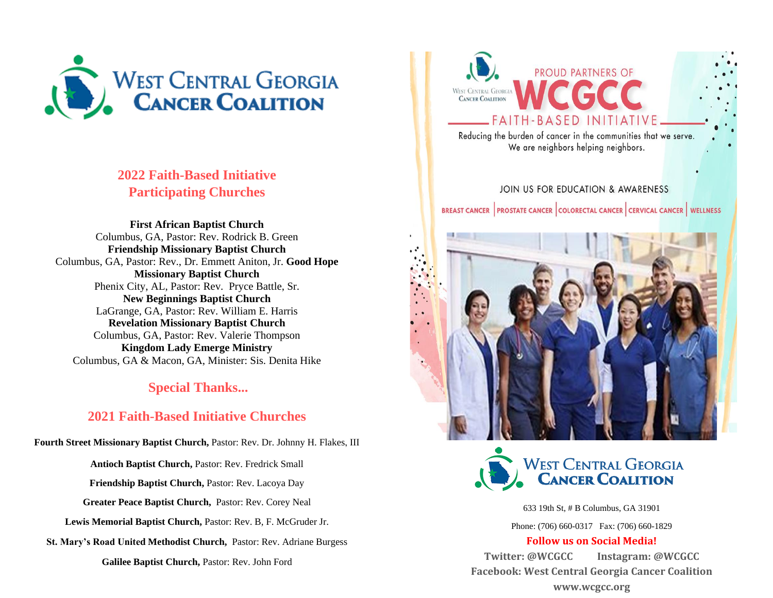

## **2022 Faith-Based Initiative Participating Churches**

**First African Baptist Church**  Columbus, GA, Pastor: Rev. Rodrick B. Green **Friendship Missionary Baptist Church**  Columbus, GA, Pastor: Rev., Dr. Emmett Aniton, Jr. **Good Hope Missionary Baptist Church** Phenix City, AL, Pastor: Rev. Pryce Battle, Sr. **New Beginnings Baptist Church**  LaGrange, GA, Pastor: Rev. William E. Harris **Revelation Missionary Baptist Church**  Columbus, GA, Pastor: Rev. Valerie Thompson **Kingdom Lady Emerge Ministry**  Columbus, GA & Macon, GA, Minister: Sis. Denita Hike

## **Special Thanks...**

## **2021 Faith-Based Initiative Churches**

**Fourth Street Missionary Baptist Church,** Pastor: Rev. Dr. Johnny H. Flakes, III

**Antioch Baptist Church,** Pastor: Rev. Fredrick Small

**Friendship Baptist Church,** Pastor: Rev. Lacoya Day

**Greater Peace Baptist Church,** Pastor: Rev. Corey Neal

**Lewis Memorial Baptist Church,** Pastor: Rev. B, F. McGruder Jr.

**St. Mary's Road United Methodist Church,** Pastor: Rev. Adriane Burgess

**Galilee Baptist Church,** Pastor: Rev. John Ford



Reducing the burden of cancer in the communities that we serve. We are neighbors helping neighbors.

## JOIN US FOR EDUCATION & AWARENESS BREAST CANCER PROSTATE CANCER COLORECTAL CANCER CERVICAL CANCER WELLNESS





633 19th St, # B Columbus, GA 31901

Phone: (706) 660-0317 Fax: (706) 660-1829

#### **Follow us on Social Media!**

**Twitter: @WCGCC Instagram: @WCGCC Facebook: West Central Georgia Cancer Coalition www.wcgcc.org**